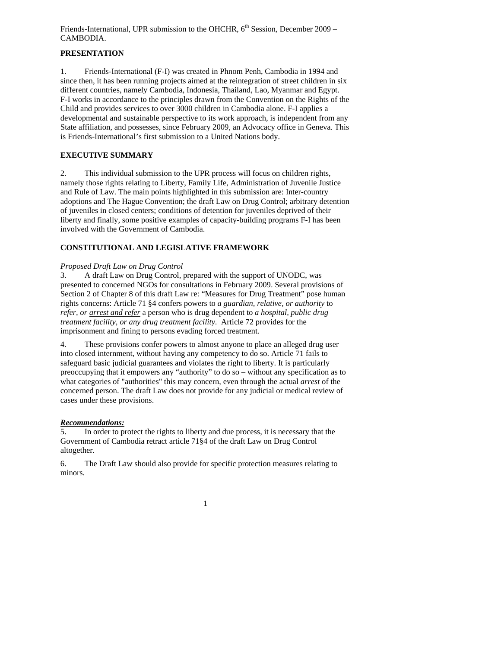# **PRESENTATION**

1. Friends-International (F-I) was created in Phnom Penh, Cambodia in 1994 and since then, it has been running projects aimed at the reintegration of street children in six different countries, namely Cambodia, Indonesia, Thailand, Lao, Myanmar and Egypt. F-I works in accordance to the principles drawn from the Convention on the Rights of the Child and provides services to over 3000 children in Cambodia alone. F-I applies a developmental and sustainable perspective to its work approach, is independent from any State affiliation, and possesses, since February 2009, an Advocacy office in Geneva. This is Friends-International's first submission to a United Nations body.

# **EXECUTIVE SUMMARY**

2. This individual submission to the UPR process will focus on children rights, namely those rights relating to Liberty, Family Life, Administration of Juvenile Justice and Rule of Law. The main points highlighted in this submission are: Inter-country adoptions and The Hague Convention; the draft Law on Drug Control; arbitrary detention of juveniles in closed centers; conditions of detention for juveniles deprived of their liberty and finally, some positive examples of capacity-building programs F-I has been involved with the Government of Cambodia.

# **CONSTITUTIONAL AND LEGISLATIVE FRAMEWORK**

# *Proposed Draft Law on Drug Control*

3. A draft Law on Drug Control, prepared with the support of UNODC, was presented to concerned NGOs for consultations in February 2009. Several provisions of Section 2 of Chapter 8 of this draft Law re: "Measures for Drug Treatment" pose human rights concerns: Article 71 §4 confers powers to *a guardian, relative, or authority* to *refer, or arrest and refer* a person who is drug dependent to *a hospital, public drug treatment facility, or any drug treatment facility*. Article 72 provides for the imprisonment and fining to persons evading forced treatment.

4. These provisions confer powers to almost anyone to place an alleged drug user into closed internment, without having any competency to do so. Article 71 fails to safeguard basic judicial guarantees and violates the right to liberty. It is particularly preoccupying that it empowers any "authority" to do so – without any specification as to what categories of "authorities" this may concern, even through the actual *arrest* of the concerned person. The draft Law does not provide for any judicial or medical review of cases under these provisions.

#### *Recommendations:*

5. In order to protect the rights to liberty and due process, it is necessary that the Government of Cambodia retract article 71§4 of the draft Law on Drug Control altogether.

6. The Draft Law should also provide for specific protection measures relating to minors.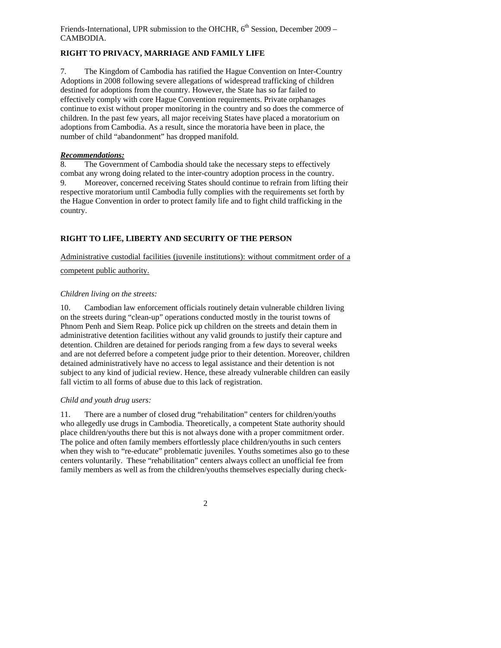# **RIGHT TO PRIVACY, MARRIAGE AND FAMILY LIFE**

7. The Kingdom of Cambodia has ratified the Hague Convention on Inter-Country Adoptions in 2008 following severe allegations of widespread trafficking of children destined for adoptions from the country. However, the State has so far failed to effectively comply with core Hague Convention requirements. Private orphanages continue to exist without proper monitoring in the country and so does the commerce of children. In the past few years, all major receiving States have placed a moratorium on adoptions from Cambodia. As a result, since the moratoria have been in place, the number of child "abandonment" has dropped manifold.

## *Recommendations:*

8. The Government of Cambodia should take the necessary steps to effectively combat any wrong doing related to the inter-country adoption process in the country. 9. Moreover, concerned receiving States should continue to refrain from lifting their respective moratorium until Cambodia fully complies with the requirements set forth by the Hague Convention in order to protect family life and to fight child trafficking in the country.

# **RIGHT TO LIFE, LIBERTY AND SECURITY OF THE PERSON**

Administrative custodial facilities (juvenile institutions): without commitment order of a

## competent public authority.

## *Children living on the streets:*

10. Cambodian law enforcement officials routinely detain vulnerable children living on the streets during "clean-up" operations conducted mostly in the tourist towns of Phnom Penh and Siem Reap. Police pick up children on the streets and detain them in administrative detention facilities without any valid grounds to justify their capture and detention. Children are detained for periods ranging from a few days to several weeks and are not deferred before a competent judge prior to their detention. Moreover, children detained administratively have no access to legal assistance and their detention is not subject to any kind of judicial review. Hence, these already vulnerable children can easily fall victim to all forms of abuse due to this lack of registration.

# *Child and youth drug users:*

11. There are a number of closed drug "rehabilitation" centers for children/youths who allegedly use drugs in Cambodia. Theoretically, a competent State authority should place children/youths there but this is not always done with a proper commitment order. The police and often family members effortlessly place children/youths in such centers when they wish to "re-educate" problematic juveniles. Youths sometimes also go to these centers voluntarily. These "rehabilitation" centers always collect an unofficial fee from family members as well as from the children/youths themselves especially during check-

2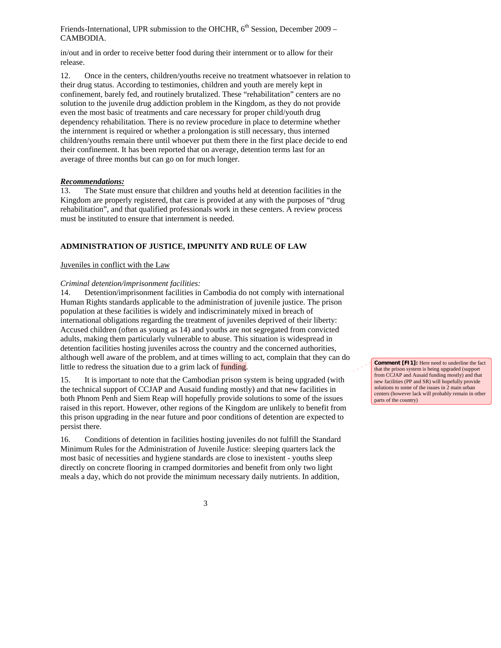in/out and in order to receive better food during their internment or to allow for their release.

12. Once in the centers, children/youths receive no treatment whatsoever in relation to their drug status. According to testimonies, children and youth are merely kept in confinement, barely fed, and routinely brutalized. These "rehabilitation" centers are no solution to the juvenile drug addiction problem in the Kingdom, as they do not provide even the most basic of treatments and care necessary for proper child/youth drug dependency rehabilitation. There is no review procedure in place to determine whether the internment is required or whether a prolongation is still necessary, thus interned children/youths remain there until whoever put them there in the first place decide to end their confinement. It has been reported that on average, detention terms last for an average of three months but can go on for much longer.

#### *Recommendations:*

13. The State must ensure that children and youths held at detention facilities in the Kingdom are properly registered, that care is provided at any with the purposes of "drug rehabilitation", and that qualified professionals work in these centers. A review process must be instituted to ensure that internment is needed.

#### **ADMINISTRATION OF JUSTICE, IMPUNITY AND RULE OF LAW**

#### Juveniles in conflict with the Law

#### *Criminal detention/imprisonment facilities:*

14. Detention/imprisonment facilities in Cambodia do not comply with international Human Rights standards applicable to the administration of juvenile justice. The prison population at these facilities is widely and indiscriminately mixed in breach of international obligations regarding the treatment of juveniles deprived of their liberty: Accused children (often as young as 14) and youths are not segregated from convicted adults, making them particularly vulnerable to abuse. This situation is widespread in detention facilities hosting juveniles across the country and the concerned authorities, although well aware of the problem, and at times willing to act, complain that they can do little to redress the situation due to a grim lack of **funding**.

15. It is important to note that the Cambodian prison system is being upgraded (with the technical support of CCJAP and Ausaid funding mostly) and that new facilities in both Phnom Penh and Siem Reap will hopefully provide solutions to some of the issues raised in this report. However, other regions of the Kingdom are unlikely to benefit from this prison upgrading in the near future and poor conditions of detention are expected to persist there.

16. Conditions of detention in facilities hosting juveniles do not fulfill the Standard Minimum Rules for the Administration of Juvenile Justice: sleeping quarters lack the most basic of necessities and hygiene standards are close to inexistent - youths sleep directly on concrete flooring in cramped dormitories and benefit from only two light meals a day, which do not provide the minimum necessary daily nutrients. In addition,

**Comment [FI1]:** Here need to underline the fact that the prison system is being upgraded (support from CCJAP and Ausaid funding mostly) and that new facilities (PP and SR) will hopefully provide solutions to some of the issues in 2 main urban centers (however lack will probably remain in other parts of the country)

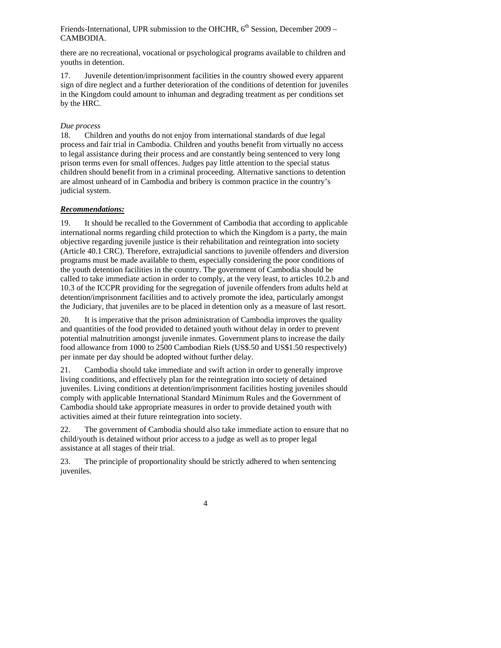there are no recreational, vocational or psychological programs available to children and youths in detention.

17. Juvenile detention/imprisonment facilities in the country showed every apparent sign of dire neglect and a further deterioration of the conditions of detention for juveniles in the Kingdom could amount to inhuman and degrading treatment as per conditions set by the HRC.

#### *Due process*

18. Children and youths do not enjoy from international standards of due legal process and fair trial in Cambodia. Children and youths benefit from virtually no access to legal assistance during their process and are constantly being sentenced to very long prison terms even for small offences. Judges pay little attention to the special status children should benefit from in a criminal proceeding. Alternative sanctions to detention are almost unheard of in Cambodia and bribery is common practice in the country's judicial system.

## *Recommendations:*

19. It should be recalled to the Government of Cambodia that according to applicable international norms regarding child protection to which the Kingdom is a party, the main objective regarding juvenile justice is their rehabilitation and reintegration into society (Article 40.1 CRC). Therefore, extrajudicial sanctions to juvenile offenders and diversion programs must be made available to them, especially considering the poor conditions of the youth detention facilities in the country. The government of Cambodia should be called to take immediate action in order to comply, at the very least, to articles 10.2.b and 10.3 of the ICCPR providing for the segregation of juvenile offenders from adults held at detention/imprisonment facilities and to actively promote the idea, particularly amongst the Judiciary, that juveniles are to be placed in detention only as a measure of last resort.

20. It is imperative that the prison administration of Cambodia improves the quality and quantities of the food provided to detained youth without delay in order to prevent potential malnutrition amongst juvenile inmates. Government plans to increase the daily food allowance from 1000 to 2500 Cambodian Riels (US\$.50 and US\$1.50 respectively) per inmate per day should be adopted without further delay.

21. Cambodia should take immediate and swift action in order to generally improve living conditions, and effectively plan for the reintegration into society of detained juveniles. Living conditions at detention/imprisonment facilities hosting juveniles should comply with applicable International Standard Minimum Rules and the Government of Cambodia should take appropriate measures in order to provide detained youth with activities aimed at their future reintegration into society.

22. The government of Cambodia should also take immediate action to ensure that no child/youth is detained without prior access to a judge as well as to proper legal assistance at all stages of their trial.

23. The principle of proportionality should be strictly adhered to when sentencing juveniles.